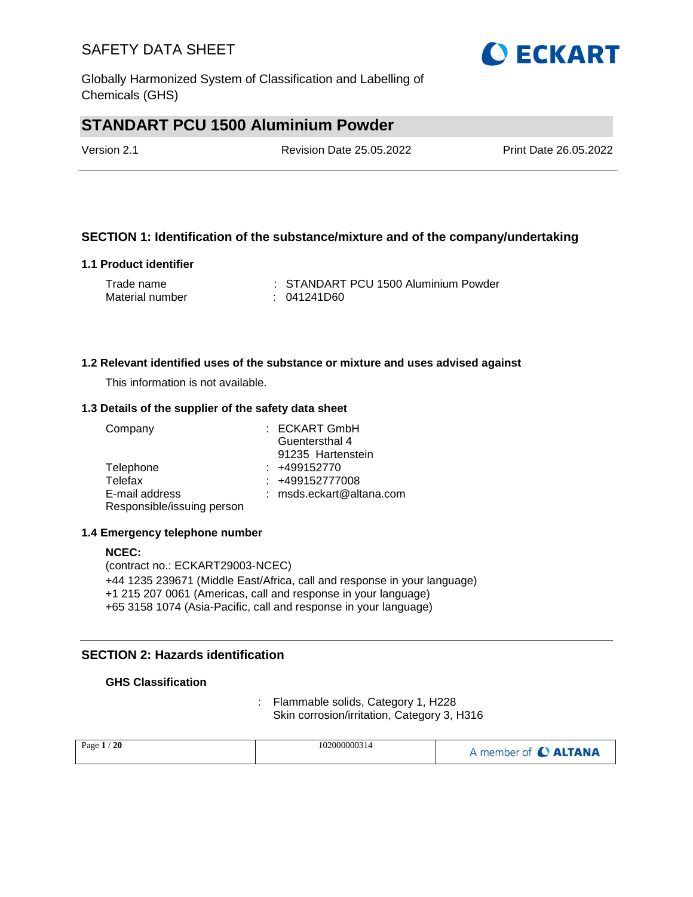Globally Harmonized System of Classification and Labelling of Chemicals (GHS)

# **STANDART PCU 1500 Aluminium Powder**

| Version 2.1 | <b>Revision Date 25.05.2022</b> | Print Date 26.05.2022 |
|-------------|---------------------------------|-----------------------|
|             |                                 |                       |

### **SECTION 1: Identification of the substance/mixture and of the company/undertaking**

#### **1.1 Product identifier**

| Trade name      | : STANDART PCU 1500 Aluminium Powder |
|-----------------|--------------------------------------|
| Material number | : 041241D60                          |

#### **1.2 Relevant identified uses of the substance or mixture and uses advised against**

This information is not available.

#### **1.3 Details of the supplier of the safety data sheet**

| Company                    | : ECKART GmbH            |
|----------------------------|--------------------------|
|                            | Guentersthal 4           |
|                            | 91235 Hartenstein        |
| Telephone                  | $: +499152770$           |
| Telefax                    | : +499152777008          |
| E-mail address             | : msds.eckart@altana.com |
| Responsible/issuing person |                          |

#### **1.4 Emergency telephone number**

#### **NCEC:** (contract no.: ECKART29003-NCEC) +44 1235 239671 (Middle East/Africa, call and response in your language) +1 215 207 0061 (Americas, call and response in your language) +65 3158 1074 (Asia-Pacific, call and response in your language)

### **SECTION 2: Hazards identification**

### **GHS Classification**

: Flammable solids, Category 1, H228 Skin corrosion/irritation, Category 3, H316

| 20<br>Page $1$ | 102000000314 | A member of C ALTANA |
|----------------|--------------|----------------------|
|                |              |                      |

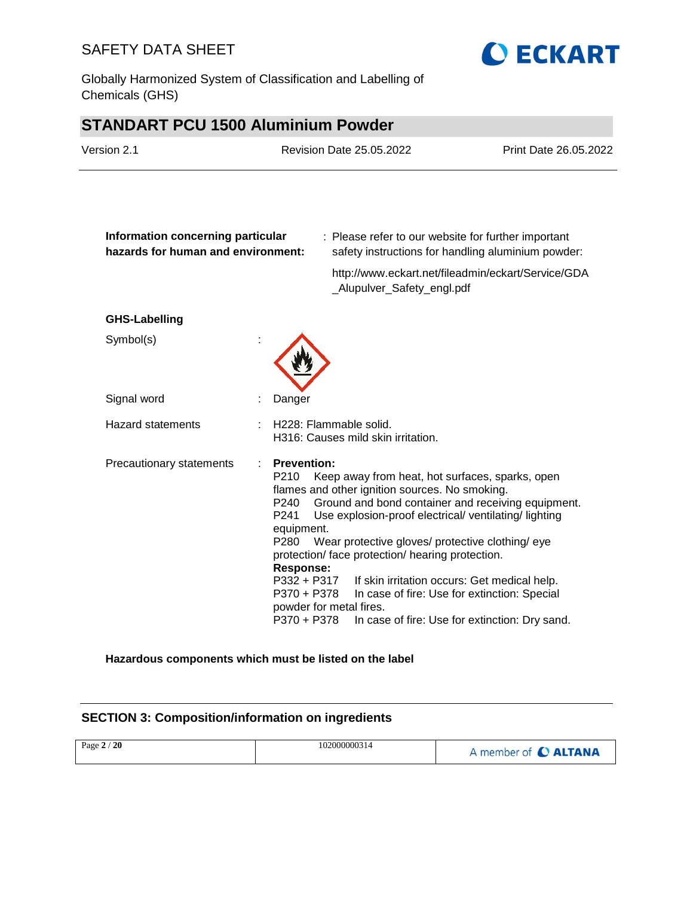Globally Harmonized System of Classification and Labelling of Chemicals (GHS)



# **STANDART PCU 1500 Aluminium Powder**

| Version 2.1                                                             |                                                                                                                                   | <b>Revision Date 25.05.2022</b>                                                                                                                                                                                                                                                                                                                                                                   | Print Date 26.05.2022                                                                          |
|-------------------------------------------------------------------------|-----------------------------------------------------------------------------------------------------------------------------------|---------------------------------------------------------------------------------------------------------------------------------------------------------------------------------------------------------------------------------------------------------------------------------------------------------------------------------------------------------------------------------------------------|------------------------------------------------------------------------------------------------|
| Information concerning particular<br>hazards for human and environment: |                                                                                                                                   | : Please refer to our website for further important                                                                                                                                                                                                                                                                                                                                               | safety instructions for handling aluminium powder:                                             |
|                                                                         |                                                                                                                                   | _Alupulver_Safety_engl.pdf                                                                                                                                                                                                                                                                                                                                                                        | http://www.eckart.net/fileadmin/eckart/Service/GDA                                             |
| <b>GHS-Labelling</b>                                                    |                                                                                                                                   |                                                                                                                                                                                                                                                                                                                                                                                                   |                                                                                                |
| Symbol(s)                                                               |                                                                                                                                   |                                                                                                                                                                                                                                                                                                                                                                                                   |                                                                                                |
| Signal word                                                             | Danger                                                                                                                            |                                                                                                                                                                                                                                                                                                                                                                                                   |                                                                                                |
| <b>Hazard statements</b>                                                |                                                                                                                                   | H228: Flammable solid.<br>H316: Causes mild skin irritation.                                                                                                                                                                                                                                                                                                                                      |                                                                                                |
| Precautionary statements                                                | <b>Prevention:</b><br>P210<br>P240<br>P241<br>equipment.<br>P280<br><b>Response:</b><br>P332 + P317<br>P370 + P378<br>P370 + P378 | Keep away from heat, hot surfaces, sparks, open<br>flames and other ignition sources. No smoking.<br>Ground and bond container and receiving equipment.<br>Use explosion-proof electrical/ventilating/lighting<br>Wear protective gloves/ protective clothing/ eye<br>protection/ face protection/ hearing protection.<br>If skin irritation occurs: Get medical help.<br>powder for metal fires. | In case of fire: Use for extinction: Special<br>In case of fire: Use for extinction: Dry sand. |

**Hazardous components which must be listed on the label**

## **SECTION 3: Composition/information on ingredients**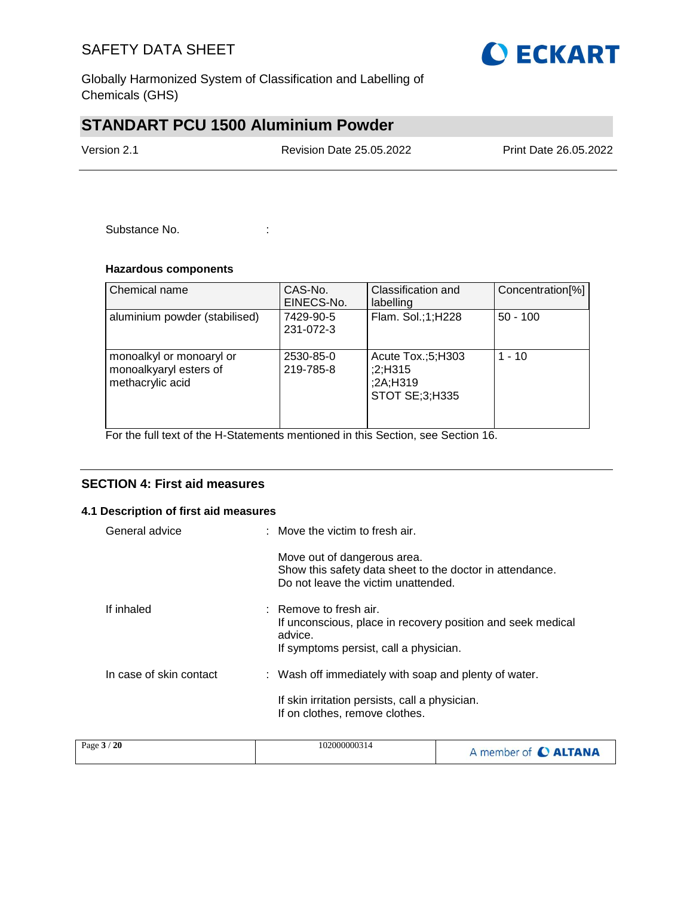

Globally Harmonized System of Classification and Labelling of Chemicals (GHS)

## **STANDART PCU 1500 Aluminium Powder**

Version 2.1 Revision Date 25.05.2022 Print Date 26.05.2022

Substance No. **:** :

### **Hazardous components**

| Chemical name                                                          | CAS-No.<br>EINECS-No.  | Classification and<br>labelling                            | Concentration[%] |
|------------------------------------------------------------------------|------------------------|------------------------------------------------------------|------------------|
| aluminium powder (stabilised)                                          | 7429-90-5<br>231-072-3 | Flam. Sol.;1;H228                                          | $50 - 100$       |
| monoalkyl or monoaryl or<br>monoalkyaryl esters of<br>methacrylic acid | 2530-85-0<br>219-785-8 | Acute Tox.;5;H303<br>;2;H315<br>;2A;H319<br>STOT SE;3;H335 | $1 - 10$         |

For the full text of the H-Statements mentioned in this Section, see Section 16.

### **SECTION 4: First aid measures**

#### **4.1 Description of first aid measures**

| General advice          | : Move the victim to fresh air.                                                                                                                       |
|-------------------------|-------------------------------------------------------------------------------------------------------------------------------------------------------|
|                         | Move out of dangerous area.<br>Show this safety data sheet to the doctor in attendance.<br>Do not leave the victim unattended.                        |
| If inhaled              | $\therefore$ Remove to fresh air.<br>If unconscious, place in recovery position and seek medical<br>advice.<br>If symptoms persist, call a physician. |
| In case of skin contact | : Wash off immediately with soap and plenty of water.                                                                                                 |
|                         | If skin irritation persists, call a physician.<br>If on clothes, remove clothes.                                                                      |

| 102000000314<br>Page $3/20$ | A member of C ALTANA |
|-----------------------------|----------------------|
|-----------------------------|----------------------|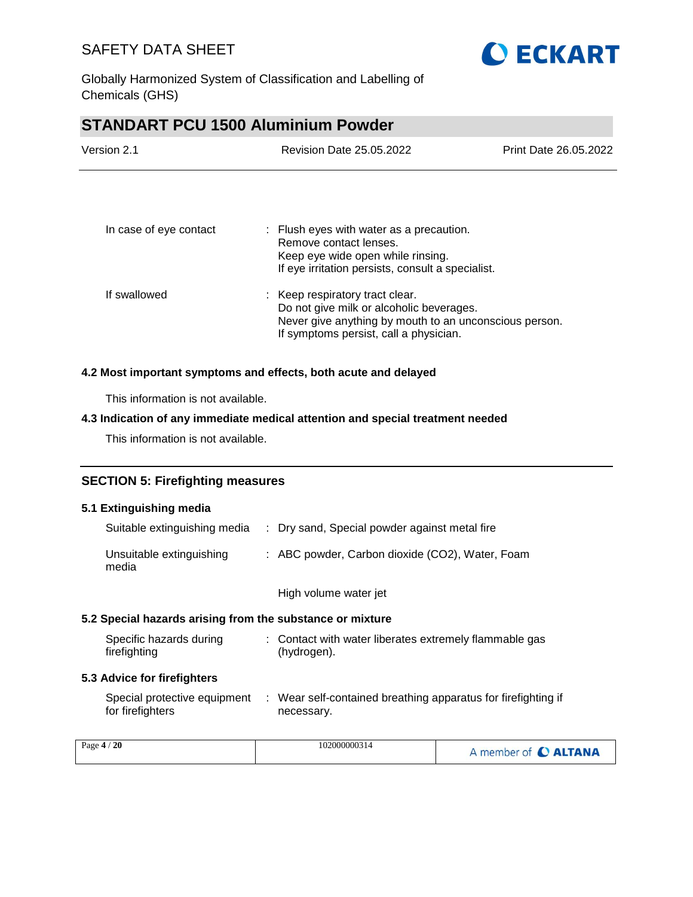

Globally Harmonized System of Classification and Labelling of Chemicals (GHS)

## **STANDART PCU 1500 Aluminium Powder**

| Version 2.1            | <b>Revision Date 25.05.2022</b>                                                                                                                                                 | Print Date 26.05.2022 |
|------------------------|---------------------------------------------------------------------------------------------------------------------------------------------------------------------------------|-----------------------|
| In case of eye contact | : Flush eyes with water as a precaution.<br>Remove contact lenses.                                                                                                              |                       |
|                        | Keep eye wide open while rinsing.<br>If eye irritation persists, consult a specialist.                                                                                          |                       |
| If swallowed           | : Keep respiratory tract clear.<br>Do not give milk or alcoholic beverages.<br>Never give anything by mouth to an unconscious person.<br>If symptoms persist, call a physician. |                       |
|                        |                                                                                                                                                                                 |                       |

#### **4.2 Most important symptoms and effects, both acute and delayed**

This information is not available.

#### **4.3 Indication of any immediate medical attention and special treatment needed**

This information is not available.

## **SECTION 5: Firefighting measures**

#### **5.1 Extinguishing media**

| Suitable extinguishing media      | : Dry sand, Special powder against metal fire   |
|-----------------------------------|-------------------------------------------------|
| Unsuitable extinguishing<br>media | : ABC powder, Carbon dioxide (CO2), Water, Foam |

High volume water jet

### **5.2 Special hazards arising from the substance or mixture**

| Specific hazards during | : Contact with water liberates extremely flammable gas |  |
|-------------------------|--------------------------------------------------------|--|
| firefighting            | (hydrogen).                                            |  |

#### **5.3 Advice for firefighters**

| Special protective equipment | : Wear self-contained breathing apparatus for firefighting if |
|------------------------------|---------------------------------------------------------------|
| for firefighters             | necessary.                                                    |

| Page $4/20$ | 102000000314 | A member of C ALTANA |
|-------------|--------------|----------------------|
|-------------|--------------|----------------------|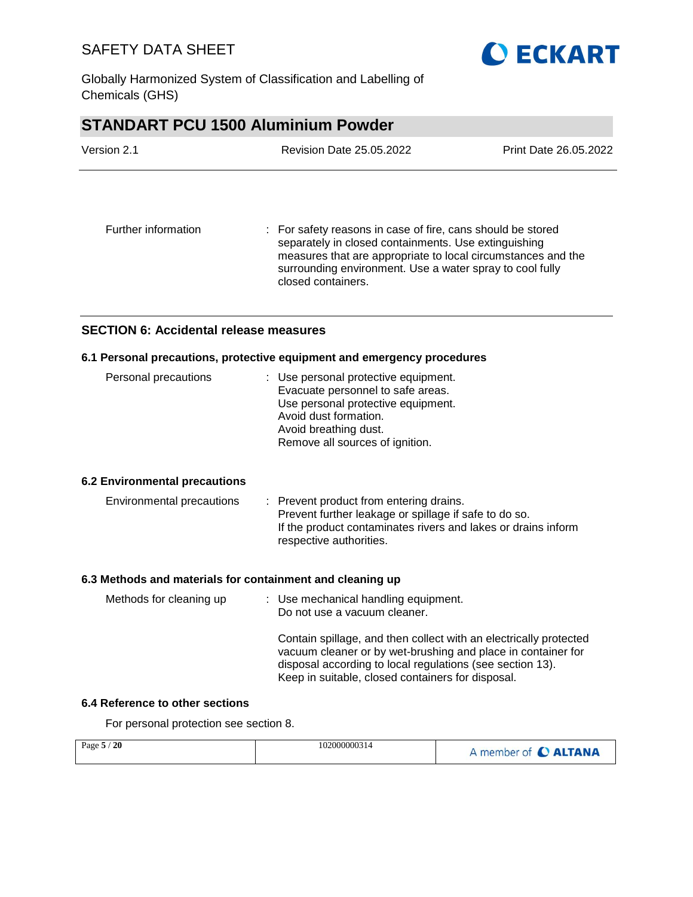

Globally Harmonized System of Classification and Labelling of Chemicals (GHS)

## **STANDART PCU 1500 Aluminium Powder**

| Version 2.1         | <b>Revision Date 25.05.2022</b>                                                                                                                                                                                                                                       | Print Date 26.05.2022 |  |
|---------------------|-----------------------------------------------------------------------------------------------------------------------------------------------------------------------------------------------------------------------------------------------------------------------|-----------------------|--|
| Further information | : For safety reasons in case of fire, cans should be stored<br>separately in closed containments. Use extinguishing<br>measures that are appropriate to local circumstances and the<br>surrounding environment. Use a water spray to cool fully<br>closed containers. |                       |  |
|                     |                                                                                                                                                                                                                                                                       |                       |  |

## **SECTION 6: Accidental release measures**

### **6.1 Personal precautions, protective equipment and emergency procedures**

#### **6.2 Environmental precautions**

| Environmental precautions | : Prevent product from entering drains.<br>Prevent further leakage or spillage if safe to do so. |
|---------------------------|--------------------------------------------------------------------------------------------------|
|                           | If the product contaminates rivers and lakes or drains inform                                    |
|                           | respective authorities.                                                                          |

#### **6.3 Methods and materials for containment and cleaning up**

| Methods for cleaning up | : Use mechanical handling equipment.<br>Do not use a vacuum cleaner.                                                                                                                                                                                |
|-------------------------|-----------------------------------------------------------------------------------------------------------------------------------------------------------------------------------------------------------------------------------------------------|
|                         | Contain spillage, and then collect with an electrically protected<br>vacuum cleaner or by wet-brushing and place in container for<br>disposal according to local regulations (see section 13).<br>Keep in suitable, closed containers for disposal. |

### **6.4 Reference to other sections**

For personal protection see section 8.

| Page $5/20$ | 102000000314 | A member of C ALTANA |
|-------------|--------------|----------------------|
|             |              |                      |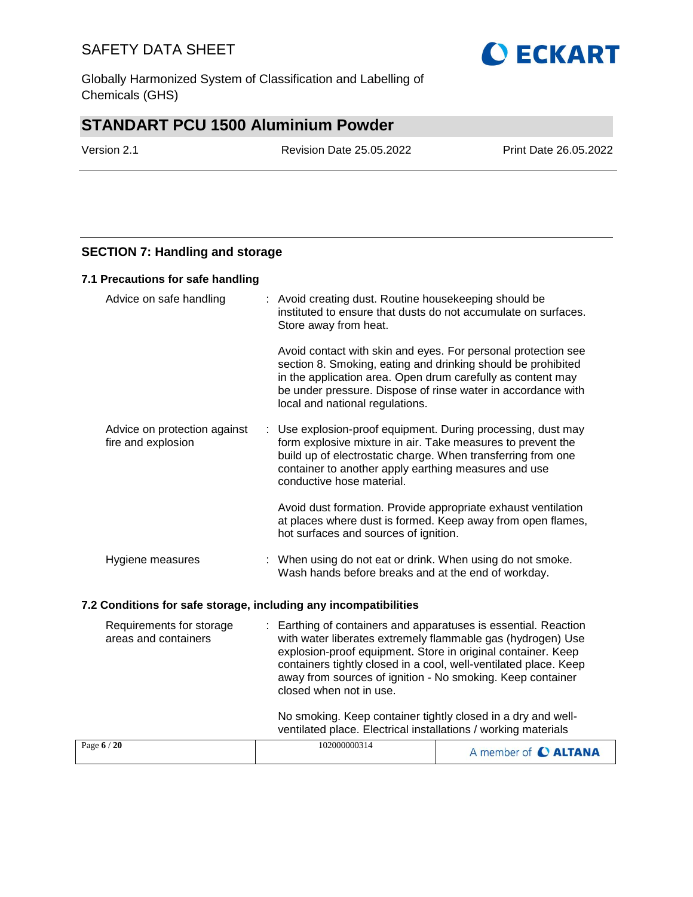Globally Harmonized System of Classification and Labelling of Chemicals (GHS)

## **STANDART PCU 1500 Aluminium Powder**

Page **6** / **20** 102000000314

Version 2.1 Revision Date 25.05.2022 Print Date 26.05.2022

**O ECKART** 

### **SECTION 7: Handling and storage**

#### **7.1 Precautions for safe handling**

| Advice on safe handling                                          | : Avoid creating dust. Routine housekeeping should be<br>instituted to ensure that dusts do not accumulate on surfaces.<br>Store away from heat.                                                                                                                                                |
|------------------------------------------------------------------|-------------------------------------------------------------------------------------------------------------------------------------------------------------------------------------------------------------------------------------------------------------------------------------------------|
|                                                                  | Avoid contact with skin and eyes. For personal protection see<br>section 8. Smoking, eating and drinking should be prohibited<br>in the application area. Open drum carefully as content may<br>be under pressure. Dispose of rinse water in accordance with<br>local and national regulations. |
| Advice on protection against<br>fire and explosion               | : Use explosion-proof equipment. During processing, dust may<br>form explosive mixture in air. Take measures to prevent the<br>build up of electrostatic charge. When transferring from one<br>container to another apply earthing measures and use<br>conductive hose material.                |
|                                                                  | Avoid dust formation. Provide appropriate exhaust ventilation<br>at places where dust is formed. Keep away from open flames,<br>hot surfaces and sources of ignition.                                                                                                                           |
| Hygiene measures                                                 | : When using do not eat or drink. When using do not smoke.<br>Wash hands before breaks and at the end of workday.                                                                                                                                                                               |
| 7.2 Conditions for safe storage, including any incompatibilities |                                                                                                                                                                                                                                                                                                 |
| Requirements for storage<br>areas and containers                 | : Earthing of containers and apparatuses is essential. Reaction<br>with water liberates extremely flammable gas (hydrogen) Use<br>explosion-proof equipment. Store in original container. Keep                                                                                                  |

closed when not in use.

containers tightly closed in a cool, well-ventilated place. Keep away from sources of ignition - No smoking. Keep container

No smoking. Keep container tightly closed in a dry and wellventilated place. Electrical installations / working materials

A member of **C ALTANA**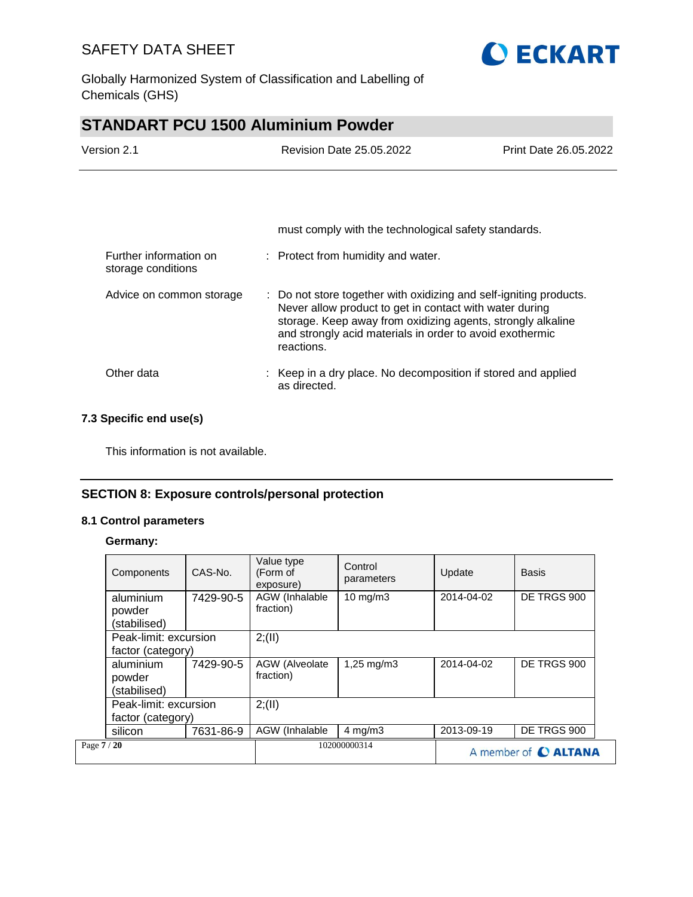

Globally Harmonized System of Classification and Labelling of Chemicals (GHS)

# **STANDART PCU 1500 Aluminium Powder**

| Version 2.1            | <b>Revision Date 25.05.2022</b>                      | Print Date 26.05.2022 |
|------------------------|------------------------------------------------------|-----------------------|
|                        |                                                      |                       |
|                        |                                                      |                       |
|                        | must comply with the technological safety standards. |                       |
| Further information on | : Protect from humidity and water.                   |                       |

| Advice on common storage | : Do not store together with oxidizing and self-igniting products.<br>Never allow product to get in contact with water during<br>storage. Keep away from oxidizing agents, strongly alkaline<br>and strongly acid materials in order to avoid exothermic<br>reactions. |
|--------------------------|------------------------------------------------------------------------------------------------------------------------------------------------------------------------------------------------------------------------------------------------------------------------|
| Other data               | : Keep in a dry place. No decomposition if stored and applied<br>as directed.                                                                                                                                                                                          |

### **7.3 Specific end use(s)**

storage conditions

This information is not available.

### **SECTION 8: Exposure controls/personal protection**

#### **8.1 Control parameters**

#### **Germany:**

|             | Components                                 | CAS-No.   | Value type<br>(Form of<br>exposure) | Control<br>parameters | Update               | <b>Basis</b> |
|-------------|--------------------------------------------|-----------|-------------------------------------|-----------------------|----------------------|--------------|
|             | aluminium<br>powder<br>(stabilised)        | 7429-90-5 | AGW (Inhalable<br>fraction)         | $10 \text{ mg/m}$     | 2014-04-02           | DE TRGS 900  |
|             | Peak-limit: excursion<br>factor (category) |           | 2; (II)                             |                       |                      |              |
|             | aluminium<br>powder<br>(stabilised)        | 7429-90-5 | AGW (Alveolate<br>fraction)         | 1,25 mg/m3            | 2014-04-02           | DE TRGS 900  |
|             | Peak-limit: excursion<br>factor (category) |           | 2; (II)                             |                       |                      |              |
|             |                                            |           |                                     |                       |                      |              |
|             | silicon                                    | 7631-86-9 | AGW (Inhalable                      | $4$ mg/m $3$          | 2013-09-19           | DE TRGS 900  |
| Page 7 / 20 |                                            |           | 102000000314                        |                       | A member of C ALTANA |              |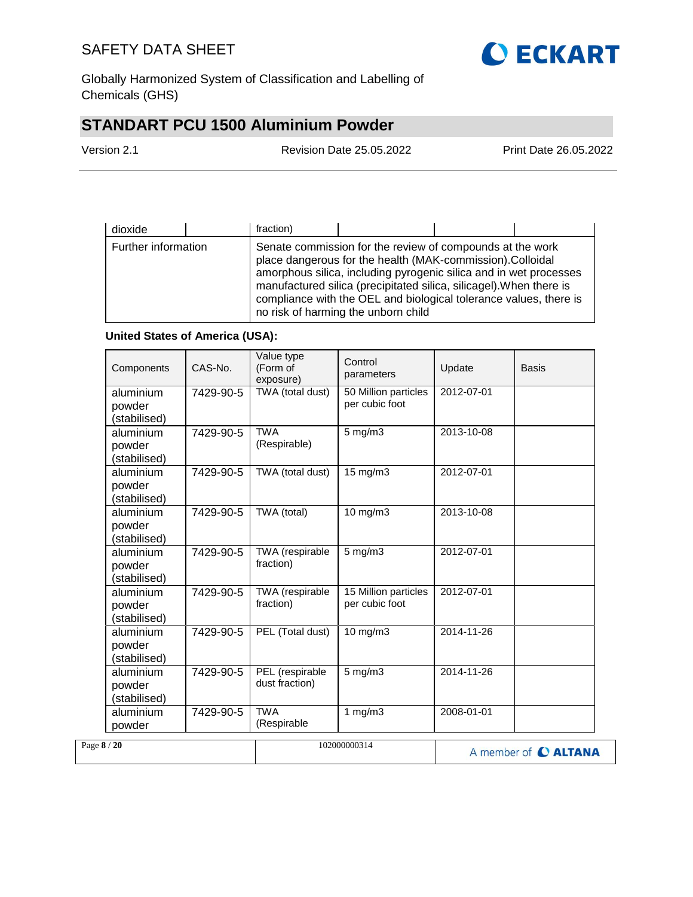

Globally Harmonized System of Classification and Labelling of Chemicals (GHS)

# **STANDART PCU 1500 Aluminium Powder**

| Version 2.1 | <b>Revision Date 25.05.2022</b> | <b>Print Date 26.05.2022</b> |
|-------------|---------------------------------|------------------------------|
|             |                                 |                              |

| dioxide             | fraction) |                                                                                                                                                                                                                                                                                                                                                                                |  |
|---------------------|-----------|--------------------------------------------------------------------------------------------------------------------------------------------------------------------------------------------------------------------------------------------------------------------------------------------------------------------------------------------------------------------------------|--|
| Further information |           | Senate commission for the review of compounds at the work<br>place dangerous for the health (MAK-commission).Colloidal<br>amorphous silica, including pyrogenic silica and in wet processes<br>manufactured silica (precipitated silica, silicagel). When there is<br>compliance with the OEL and biological tolerance values, there is<br>no risk of harming the unborn child |  |

### **United States of America (USA):**

| Components                          | CAS-No.   | Value type<br>(Form of<br>exposure) | Control<br>parameters                  | Update     | Basis                |
|-------------------------------------|-----------|-------------------------------------|----------------------------------------|------------|----------------------|
| aluminium<br>powder<br>(stabilised) | 7429-90-5 | TWA (total dust)                    | 50 Million particles<br>per cubic foot | 2012-07-01 |                      |
| aluminium<br>powder<br>(stabilised) | 7429-90-5 | <b>TWA</b><br>(Respirable)          | $5$ mg/m $3$                           | 2013-10-08 |                      |
| aluminium<br>powder<br>(stabilised) | 7429-90-5 | TWA (total dust)                    | 15 mg/m3                               | 2012-07-01 |                      |
| aluminium<br>powder<br>(stabilised) | 7429-90-5 | TWA (total)                         | $10$ mg/m $3$                          | 2013-10-08 |                      |
| aluminium<br>powder<br>(stabilised) | 7429-90-5 | TWA (respirable<br>fraction)        | $5$ mg/m $3$                           | 2012-07-01 |                      |
| aluminium<br>powder<br>(stabilised) | 7429-90-5 | TWA (respirable<br>fraction)        | 15 Million particles<br>per cubic foot | 2012-07-01 |                      |
| aluminium<br>powder<br>(stabilised) | 7429-90-5 | PEL (Total dust)                    | 10 mg/m3                               | 2014-11-26 |                      |
| aluminium<br>powder<br>(stabilised) | 7429-90-5 | PEL (respirable<br>dust fraction)   | $5$ mg/m $3$                           | 2014-11-26 |                      |
| aluminium<br>powder                 | 7429-90-5 | <b>TWA</b><br>(Respirable           | 1 $mg/m3$                              | 2008-01-01 |                      |
| Page 8 / 20                         |           |                                     | 102000000314                           |            | A member of C ALTANA |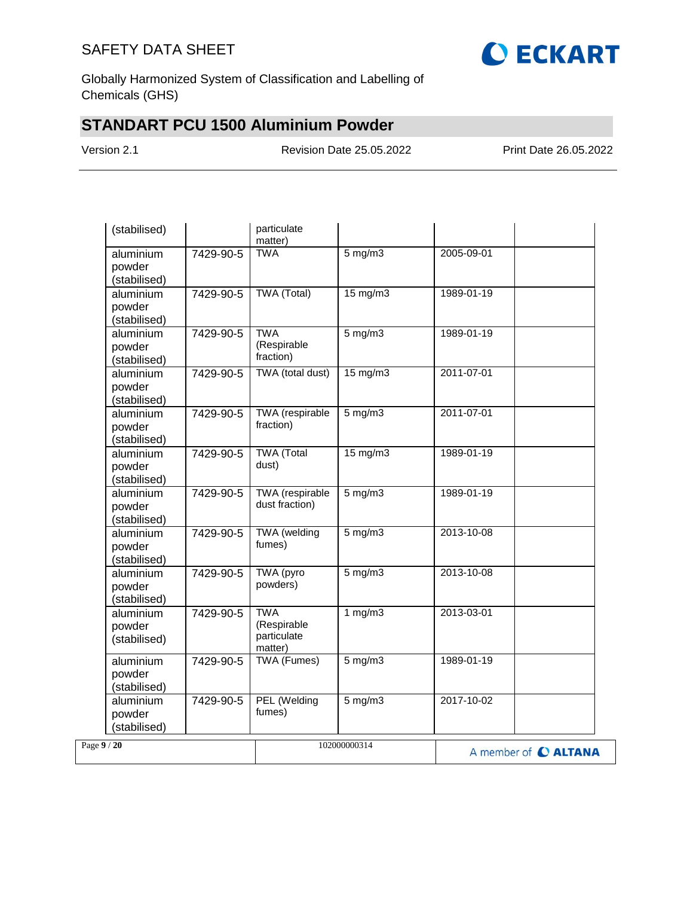

Globally Harmonized System of Classification and Labelling of Chemicals (GHS)

# **STANDART PCU 1500 Aluminium Powder**

Version 2.1 Revision Date 25.05.2022 Print Date 26.05.2022

| (stabilised)                                     | particulate<br>matter)                              |                   |                      |
|--------------------------------------------------|-----------------------------------------------------|-------------------|----------------------|
| aluminium<br>7429-90-5<br>powder<br>(stabilised) | <b>TWA</b>                                          | $5$ mg/m $3$      | 2005-09-01           |
| aluminium<br>7429-90-5<br>powder<br>(stabilised) | <b>TWA</b> (Total)                                  | $15 \text{ mg/m}$ | 1989-01-19           |
| aluminium<br>7429-90-5<br>powder<br>(stabilised) | <b>TWA</b><br>(Respirable<br>fraction)              | $5$ mg/m $3$      | 1989-01-19           |
| aluminium<br>7429-90-5<br>powder<br>(stabilised) | TWA (total dust)                                    | $15 \text{ mg/m}$ | 2011-07-01           |
| aluminium<br>7429-90-5<br>powder<br>(stabilised) | <b>TWA</b> (respirable<br>fraction)                 | $5$ mg/m $3$      | 2011-07-01           |
| aluminium<br>7429-90-5<br>powder<br>(stabilised) | <b>TWA</b> (Total<br>dust)                          | $15 \text{ mg/m}$ | 1989-01-19           |
| aluminium<br>7429-90-5<br>powder<br>(stabilised) | <b>TWA</b> (respirable<br>dust fraction)            | 5 mg/m3           | 1989-01-19           |
| aluminium<br>7429-90-5<br>powder<br>(stabilised) | <b>TWA</b> (welding<br>fumes)                       | $5$ mg/m $3$      | 2013-10-08           |
| aluminium<br>7429-90-5<br>powder<br>(stabilised) | TWA (pyro<br>powders)                               | $5$ mg/m $3$      | 2013-10-08           |
| 7429-90-5<br>aluminium<br>powder<br>(stabilised) | <b>TWA</b><br>(Respirable<br>particulate<br>matter) | 1 $mg/m3$         | 2013-03-01           |
| aluminium<br>7429-90-5<br>powder<br>(stabilised) | <b>TWA (Fumes)</b>                                  | $5 \text{ mg/m}$  | 1989-01-19           |
| aluminium<br>7429-90-5<br>powder<br>(stabilised) | PEL (Welding<br>fumes)                              | $5$ mg/m $3$      | 2017-10-02           |
| Page 9/20                                        |                                                     | 102000000314      | A member of C ALTANA |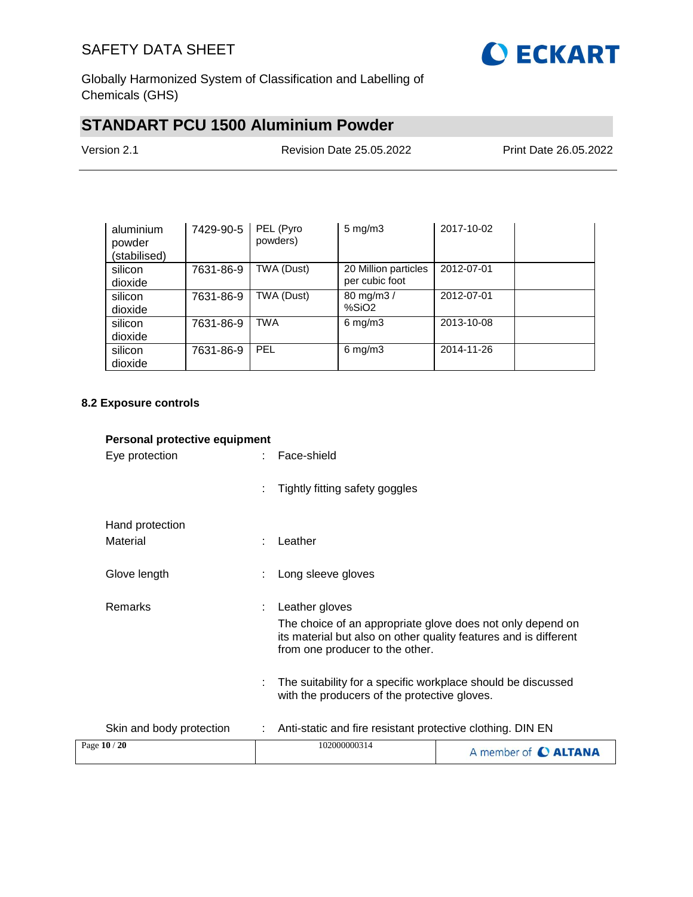

Globally Harmonized System of Classification and Labelling of Chemicals (GHS)

# **STANDART PCU 1500 Aluminium Powder**

| Version 2.1 | <b>Revision Date 25.05.2022</b> | Print Date 26.05.2022 |
|-------------|---------------------------------|-----------------------|
|             |                                 |                       |

| aluminium<br>powder<br>(stabilised) | 7429-90-5 | PEL (Pyro<br>powders) | $5 \text{ mg/m}$ 3                     | 2017-10-02 |  |
|-------------------------------------|-----------|-----------------------|----------------------------------------|------------|--|
| silicon<br>dioxide                  | 7631-86-9 | TWA (Dust)            | 20 Million particles<br>per cubic foot | 2012-07-01 |  |
| silicon<br>dioxide                  | 7631-86-9 | TWA (Dust)            | 80 mg/m3 /<br>%SiO <sub>2</sub>        | 2012-07-01 |  |
| silicon<br>dioxide                  | 7631-86-9 | <b>TWA</b>            | $6 \text{ mg/m}$ 3                     | 2013-10-08 |  |
| silicon<br>dioxide                  | 7631-86-9 | <b>PEL</b>            | $6$ mg/m $3$                           | 2014-11-26 |  |

### **8.2 Exposure controls**

| Personal protective equipment |   |                                                                                                                                                                                                                                                                                                     |                             |
|-------------------------------|---|-----------------------------------------------------------------------------------------------------------------------------------------------------------------------------------------------------------------------------------------------------------------------------------------------------|-----------------------------|
| Eye protection                |   | Face-shield                                                                                                                                                                                                                                                                                         |                             |
|                               |   | Tightly fitting safety goggles                                                                                                                                                                                                                                                                      |                             |
| Hand protection               |   |                                                                                                                                                                                                                                                                                                     |                             |
| Material                      |   | Leather                                                                                                                                                                                                                                                                                             |                             |
| Glove length                  |   | Long sleeve gloves                                                                                                                                                                                                                                                                                  |                             |
| <b>Remarks</b>                | ÷ | Leather gloves<br>The choice of an appropriate glove does not only depend on<br>its material but also on other quality features and is different<br>from one producer to the other.<br>The suitability for a specific workplace should be discussed<br>with the producers of the protective gloves. |                             |
| Skin and body protection      |   | Anti-static and fire resistant protective clothing. DIN EN                                                                                                                                                                                                                                          |                             |
| Page 10 / 20                  |   | 102000000314                                                                                                                                                                                                                                                                                        | A member of <b>C ALTANA</b> |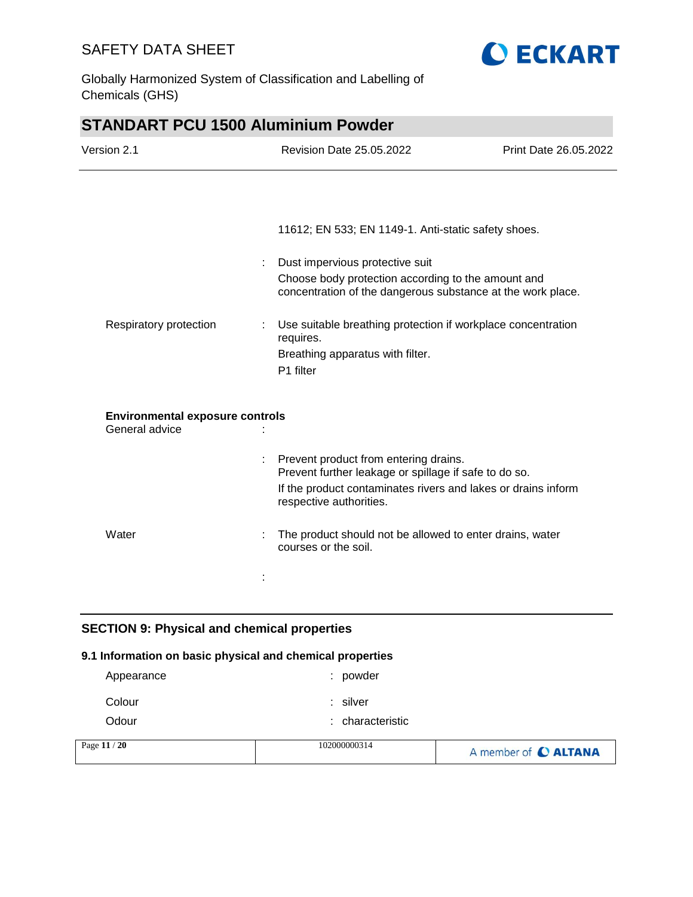

Globally Harmonized System of Classification and Labelling of Chemicals (GHS)

## **STANDART PCU 1500 Aluminium Powder**

| Version 2.1                                              | <b>Revision Date 25.05.2022</b>                                                                                                                                                            | Print Date 26.05.2022 |
|----------------------------------------------------------|--------------------------------------------------------------------------------------------------------------------------------------------------------------------------------------------|-----------------------|
|                                                          |                                                                                                                                                                                            |                       |
|                                                          | 11612; EN 533; EN 1149-1. Anti-static safety shoes.                                                                                                                                        |                       |
| ÷                                                        | Dust impervious protective suit<br>Choose body protection according to the amount and<br>concentration of the dangerous substance at the work place.                                       |                       |
| Respiratory protection                                   | Use suitable breathing protection if workplace concentration<br>requires.<br>Breathing apparatus with filter.<br>P1 filter                                                                 |                       |
| <b>Environmental exposure controls</b><br>General advice |                                                                                                                                                                                            |                       |
|                                                          | Prevent product from entering drains.<br>Prevent further leakage or spillage if safe to do so.<br>If the product contaminates rivers and lakes or drains inform<br>respective authorities. |                       |
| Water                                                    | The product should not be allowed to enter drains, water<br>courses or the soil.                                                                                                           |                       |
|                                                          |                                                                                                                                                                                            |                       |
|                                                          |                                                                                                                                                                                            |                       |

## **SECTION 9: Physical and chemical properties**

## **9.1 Information on basic physical and chemical properties**

| Page 11 / 20 | 102000000314     | A member of C ALTANA |
|--------------|------------------|----------------------|
| Odour        | : characteristic |                      |
| Colour       | : silver         |                      |
| Appearance   | powder<br>÷.     |                      |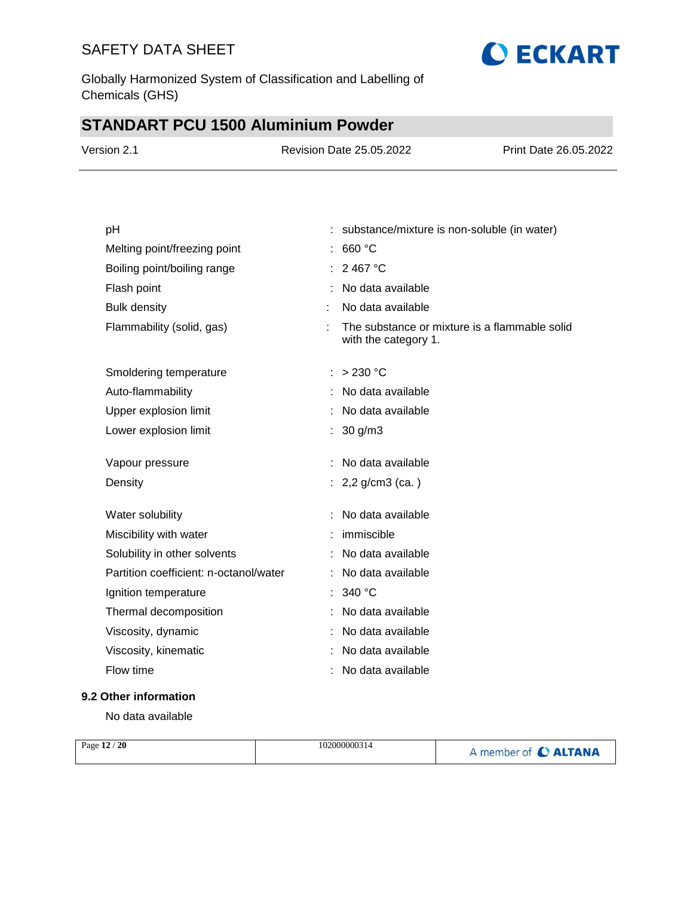Globally Harmonized System of Classification and Labelling of Chemicals (GHS)

# **STANDART PCU 1500 Aluminium Powder**

| Version 2.1                            | <b>Revision Date 25.05.2022</b>               | Print Date 26.05.2022                         |
|----------------------------------------|-----------------------------------------------|-----------------------------------------------|
|                                        |                                               |                                               |
| pH                                     | : substance/mixture is non-soluble (in water) |                                               |
| Melting point/freezing point           | : 660 °C                                      |                                               |
| Boiling point/boiling range            | : 2467 °C                                     |                                               |
| Flash point                            | No data available                             |                                               |
| <b>Bulk density</b>                    | No data available                             |                                               |
| Flammability (solid, gas)              | ÷<br>with the category 1.                     | The substance or mixture is a flammable solid |
| Smoldering temperature                 | : > 230 °C                                    |                                               |
| Auto-flammability                      | No data available                             |                                               |
| Upper explosion limit                  | : No data available                           |                                               |
| Lower explosion limit                  | : $30 g/m3$                                   |                                               |
| Vapour pressure                        | : No data available                           |                                               |
| Density                                | : $2,2$ g/cm3 (ca.)                           |                                               |
| Water solubility                       | : No data available                           |                                               |
| Miscibility with water                 | : immiscible                                  |                                               |
| Solubility in other solvents           | : No data available                           |                                               |
| Partition coefficient: n-octanol/water | : No data available                           |                                               |
| Ignition temperature                   | : 340 °C                                      |                                               |
| Thermal decomposition                  | : No data available                           |                                               |
| Viscosity, dynamic                     | : No data available                           |                                               |
| Viscosity, kinematic                   | No data available                             |                                               |
| Flow time                              | : No data available                           |                                               |
| 9.2 Other information                  |                                               |                                               |

**O ECKART** 

No data available

| Page 12 / 20<br>102000000314 | A member of C ALTANA |
|------------------------------|----------------------|
|------------------------------|----------------------|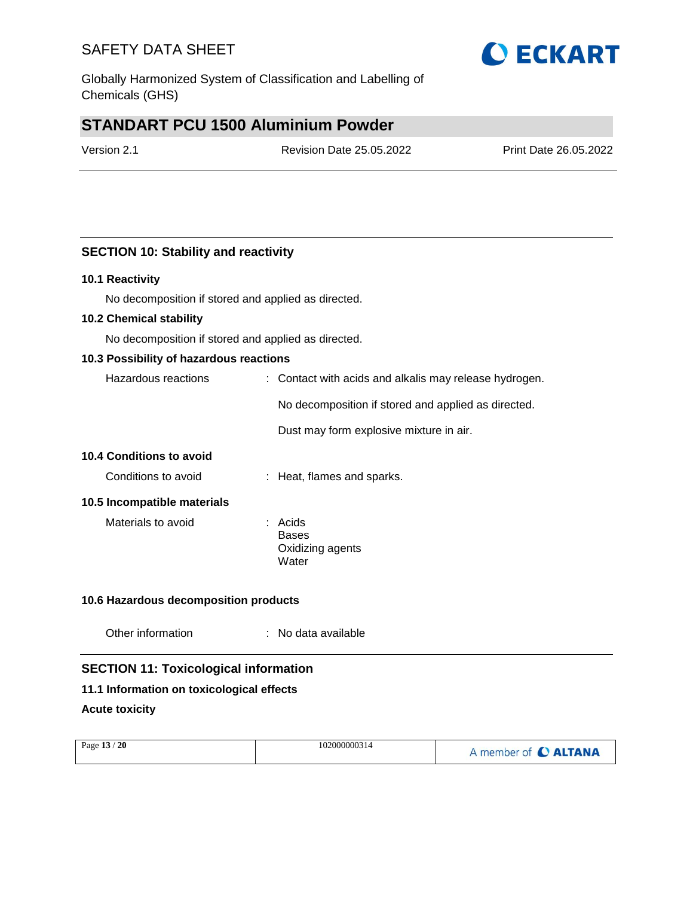Globally Harmonized System of Classification and Labelling of Chemicals (GHS)

## **STANDART PCU 1500 Aluminium Powder**

Version 2.1 Revision Date 25.05.2022 Print Date 26.05.2022

## **SECTION 10: Stability and reactivity**

#### **10.1 Reactivity**

No decomposition if stored and applied as directed.

#### **10.2 Chemical stability**

No decomposition if stored and applied as directed.

#### **10.3 Possibility of hazardous reactions**

| Hazardous reactions | : Contact with acids and alkalis may release hydrogen. |  |
|---------------------|--------------------------------------------------------|--|
|                     | No decomposition if stored and applied as directed.    |  |
|                     | Dust may form explosive mixture in air.                |  |

### **10.4 Conditions to avoid**

Conditions to avoid : Heat, flames and sparks.

#### **10.5 Incompatible materials**

Materials to avoid **:** Acids

Bases Oxidizing agents Water

### **10.6 Hazardous decomposition products**

| Other information |  | No data available |
|-------------------|--|-------------------|
|-------------------|--|-------------------|

## **SECTION 11: Toxicological information**

### **11.1 Information on toxicological effects**

#### **Acute toxicity**

| Page 13 / 20 | 102000000314 | A member of C ALTANA |
|--------------|--------------|----------------------|
|              |              |                      |

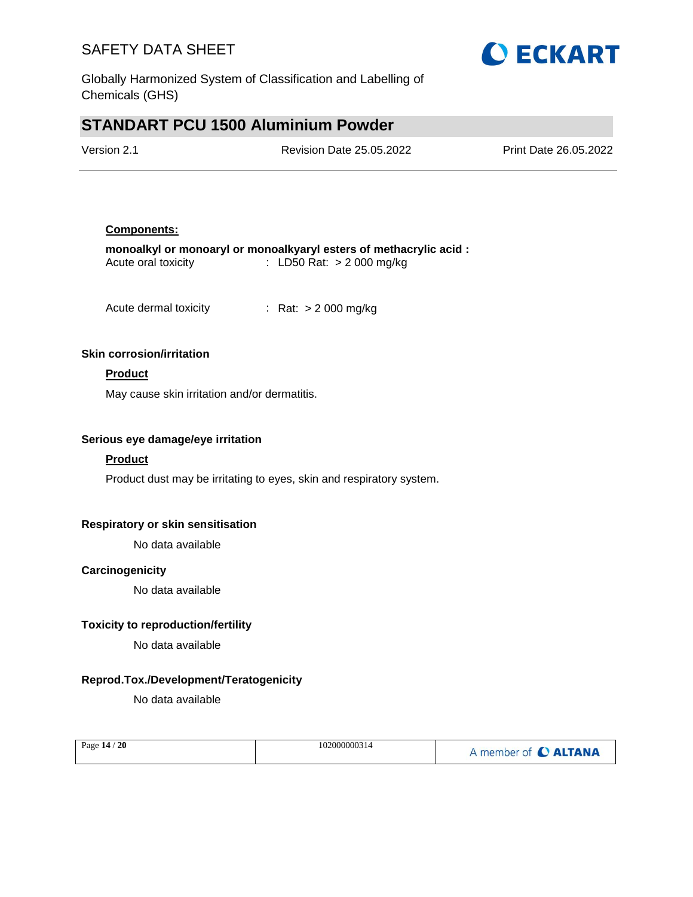

Globally Harmonized System of Classification and Labelling of Chemicals (GHS)

## **STANDART PCU 1500 Aluminium Powder**

| Version 2.1 | <b>Revision Date 25.05.2022</b> | Print Date 26.05.2022 |
|-------------|---------------------------------|-----------------------|
|             |                                 |                       |

#### **Components:**

|                     | monoalkyl or monoaryl or monoalkyaryl esters of methacrylic acid : |
|---------------------|--------------------------------------------------------------------|
| Acute oral toxicity | : LD50 Rat: $>$ 2 000 mg/kg                                        |

Acute dermal toxicity : Rat: > 2 000 mg/kg

#### **Skin corrosion/irritation**

### **Product**

May cause skin irritation and/or dermatitis.

#### **Serious eye damage/eye irritation**

### **Product**

Product dust may be irritating to eyes, skin and respiratory system.

### **Respiratory or skin sensitisation**

No data available

### **Carcinogenicity**

No data available

### **Toxicity to reproduction/fertility**

No data available

### **Reprod.Tox./Development/Teratogenicity**

No data available

| Page 14 / 20 | 102000000314 | A member of C ALTANA |
|--------------|--------------|----------------------|
|              |              |                      |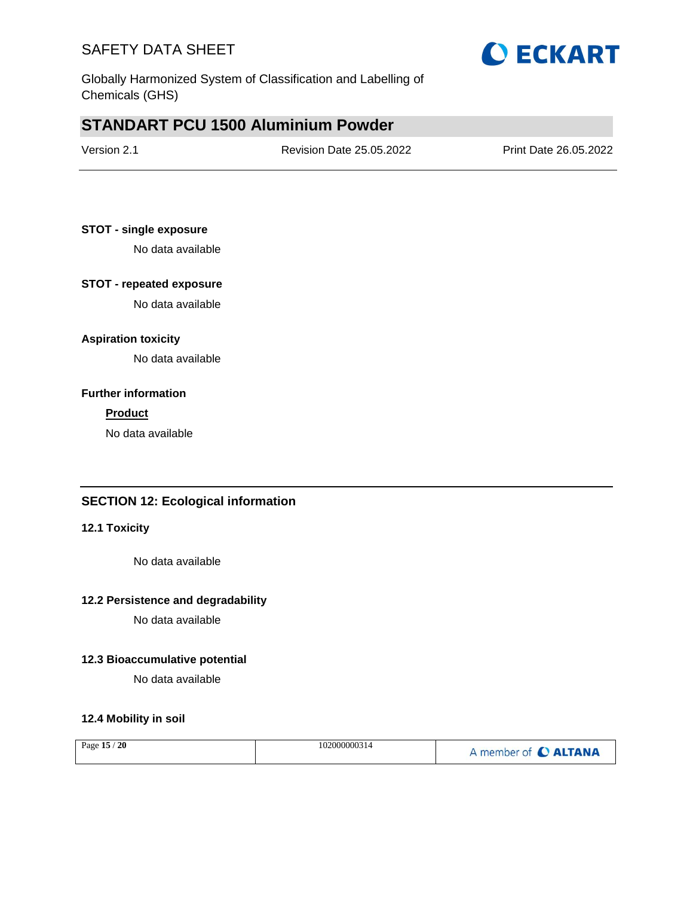

Globally Harmonized System of Classification and Labelling of Chemicals (GHS)

## **STANDART PCU 1500 Aluminium Powder**

| Version 2.1 | <b>Revision Date 25.05.2022</b> | Print Date 26.05.2022 |
|-------------|---------------------------------|-----------------------|
|             |                                 |                       |

### **STOT - single exposure**

No data available

### **STOT - repeated exposure**

No data available

### **Aspiration toxicity**

No data available

### **Further information**

#### **Product**

No data available

## **SECTION 12: Ecological information**

#### **12.1 Toxicity**

No data available

#### **12.2 Persistence and degradability**

No data available

### **12.3 Bioaccumulative potential**

No data available

### **12.4 Mobility in soil**

| 20<br>Page $15/$ | 102000000314 | A member of C ALTANA |
|------------------|--------------|----------------------|
|                  |              |                      |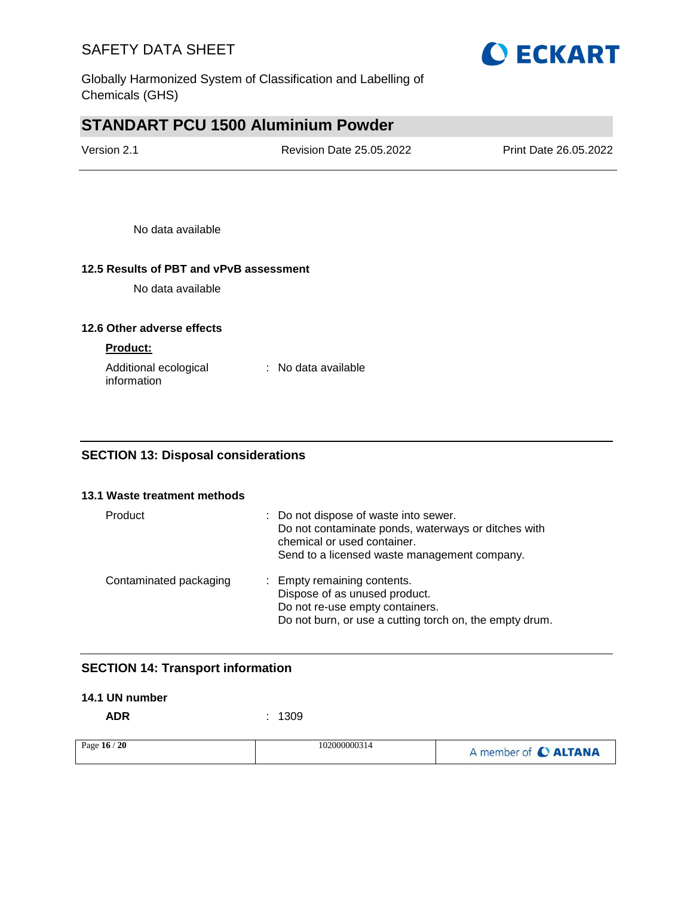

Globally Harmonized System of Classification and Labelling of Chemicals (GHS)

## **STANDART PCU 1500 Aluminium Powder**

| Version 2.1 | <b>Revision Date 25.05.2022</b> | Print Date 26.05.2022 |
|-------------|---------------------------------|-----------------------|
|             |                                 |                       |

No data available

### **12.5 Results of PBT and vPvB assessment**

No data available

#### **12.6 Other adverse effects**

#### **Product:**

| Additional ecological | : No data available |
|-----------------------|---------------------|
| information           |                     |

## **SECTION 13: Disposal considerations**

#### **13.1 Waste treatment methods**

| Product                | : Do not dispose of waste into sewer.<br>Do not contaminate ponds, waterways or ditches with<br>chemical or used container.<br>Send to a licensed waste management company. |
|------------------------|-----------------------------------------------------------------------------------------------------------------------------------------------------------------------------|
| Contaminated packaging | : Empty remaining contents.<br>Dispose of as unused product.<br>Do not re-use empty containers.<br>Do not burn, or use a cutting torch on, the empty drum.                  |

## **SECTION 14: Transport information**

#### **14.1 UN number**

**ADR** : 1309

| Page 16 / 20 | 102000000314 | A member of C ALTANA |
|--------------|--------------|----------------------|
|--------------|--------------|----------------------|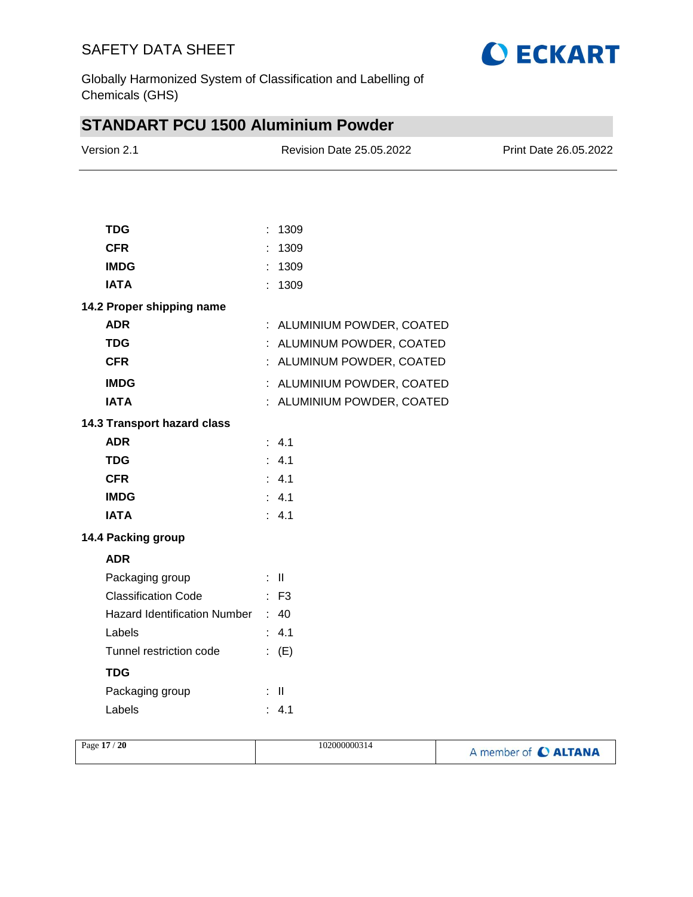

Globally Harmonized System of Classification and Labelling of Chemicals (GHS)

# **STANDART PCU 1500 Aluminium Powder**

| Version 2.1                       | <b>Revision Date 25.05.2022</b> | Print Date 26.05.2022 |
|-----------------------------------|---------------------------------|-----------------------|
|                                   |                                 |                       |
| <b>TDG</b>                        | : 1309                          |                       |
| <b>CFR</b>                        | : 1309                          |                       |
| <b>IMDG</b>                       | : 1309                          |                       |
| <b>IATA</b>                       | : 1309                          |                       |
| 14.2 Proper shipping name         |                                 |                       |
| <b>ADR</b>                        | : ALUMINIUM POWDER, COATED      |                       |
| <b>TDG</b>                        | : ALUMINUM POWDER, COATED       |                       |
| <b>CFR</b>                        | : ALUMINUM POWDER, COATED       |                       |
| <b>IMDG</b>                       | : ALUMINIUM POWDER, COATED      |                       |
| <b>IATA</b>                       | : ALUMINIUM POWDER, COATED      |                       |
| 14.3 Transport hazard class       |                                 |                       |
| <b>ADR</b>                        | : 4.1                           |                       |
| <b>TDG</b>                        | : 4.1                           |                       |
| <b>CFR</b>                        | : 4.1                           |                       |
| <b>IMDG</b>                       | : 4.1                           |                       |
| <b>IATA</b>                       | $\therefore$ 4.1                |                       |
| 14.4 Packing group                |                                 |                       |
| <b>ADR</b>                        |                                 |                       |
| Packaging group                   | $\pm$ 11                        |                       |
| <b>Classification Code</b>        | : F3                            |                       |
| Hazard Identification Number : 40 |                                 |                       |
| Labels                            | : 4.1                           |                       |
| Tunnel restriction code           | : $(E)$                         |                       |
| <b>TDG</b>                        |                                 |                       |
| Packaging group                   | $\mathbb{R}^{\mathbb{N}}$       |                       |
| Labels                            | : 4.1                           |                       |

|--|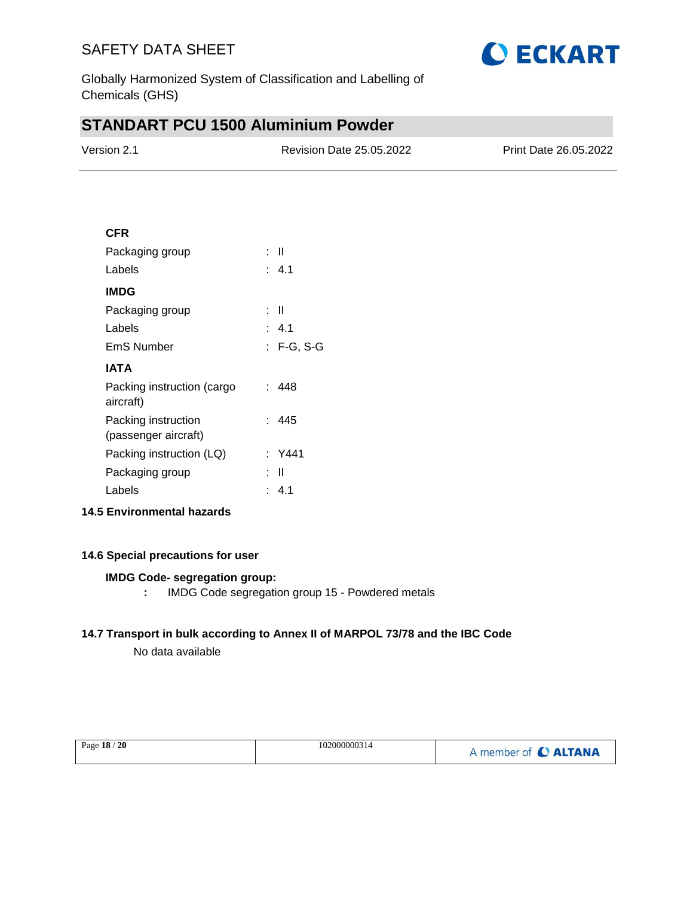

Globally Harmonized System of Classification and Labelling of Chemicals (GHS)

# **STANDART PCU 1500 Aluminium Powder**

| Version 2.1 | Revision Date 25.05.2022 | Print Date 26.05.2022 |
|-------------|--------------------------|-----------------------|
|             |                          |                       |

### **CFR**

| Packaging group                             | : II         |
|---------------------------------------------|--------------|
| Labels                                      | : 4.1        |
| IMDG                                        |              |
| Packaging group                             | : II         |
| Labels                                      | : 4.1        |
| EmS Number                                  | $: F-G, S-G$ |
| IATA                                        |              |
| Packing instruction (cargo<br>aircraft)     | : 448        |
| Packing instruction<br>(passenger aircraft) | : 445        |
| Packing instruction (LQ)                    | : Y441       |
| Packaging group                             | Ш            |
| Labels                                      | 41           |
|                                             |              |

## **14.5 Environmental hazards**

### **14.6 Special precautions for user**

#### **IMDG Code- segregation group:**

**:** IMDG Code segregation group 15 - Powdered metals

### **14.7 Transport in bulk according to Annex II of MARPOL 73/78 and the IBC Code**

No data available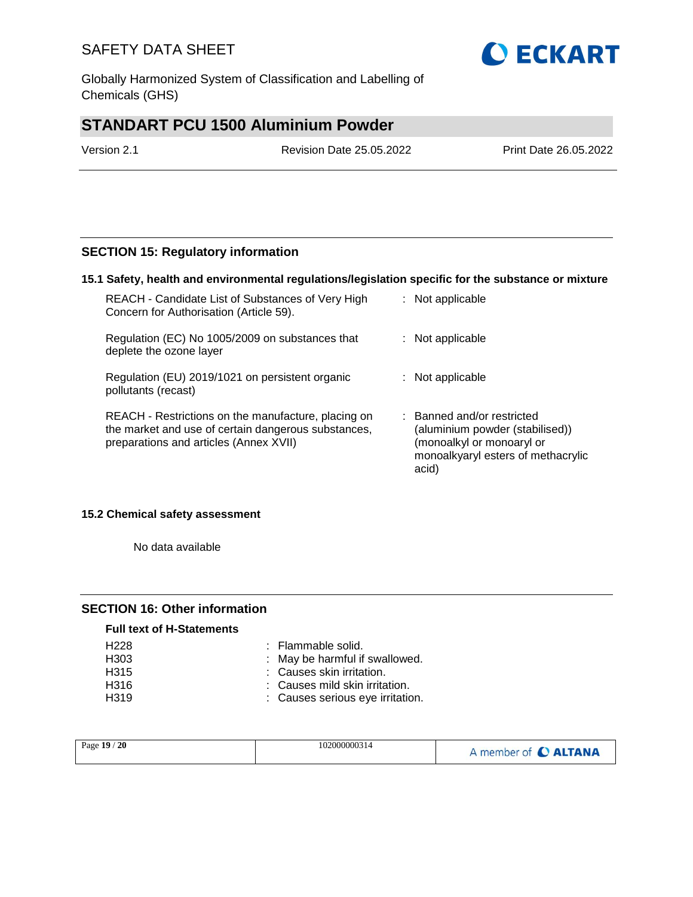Globally Harmonized System of Classification and Labelling of Chemicals (GHS)

# **STANDART PCU 1500 Aluminium Powder**

| Version 2.1 | <b>Revision Date 25.05.2022</b> | <b>Print Date 26.05.2022</b> |
|-------------|---------------------------------|------------------------------|
|             |                                 |                              |

## **SECTION 15: Regulatory information**

#### **15.1 Safety, health and environmental regulations/legislation specific for the substance or mixture**

| REACH - Candidate List of Substances of Very High<br>Concern for Authorisation (Article 59).                                                         | : Not applicable                                                                                                                          |
|------------------------------------------------------------------------------------------------------------------------------------------------------|-------------------------------------------------------------------------------------------------------------------------------------------|
| Regulation (EC) No 1005/2009 on substances that<br>deplete the ozone layer                                                                           | : Not applicable                                                                                                                          |
| Regulation (EU) 2019/1021 on persistent organic<br>pollutants (recast)                                                                               | : Not applicable                                                                                                                          |
| REACH - Restrictions on the manufacture, placing on<br>the market and use of certain dangerous substances,<br>preparations and articles (Annex XVII) | : Banned and/or restricted<br>(aluminium powder (stabilised))<br>(monoalkyl or monoaryl or<br>monoalkyaryl esters of methacrylic<br>acid) |

#### **15.2 Chemical safety assessment**

No data available

### **SECTION 16: Other information**

| <b>Full text of H-Statements</b> |                                  |
|----------------------------------|----------------------------------|
| H <sub>228</sub>                 | : Flammable solid.               |
| H303                             | : May be harmful if swallowed.   |
| H <sub>315</sub>                 | : Causes skin irritation.        |
| H316                             | : Causes mild skin irritation.   |
| H <sub>319</sub>                 | : Causes serious eye irritation. |

| A member of C ALTANA | Page 19 / 20<br>102000000314 |
|----------------------|------------------------------|
|----------------------|------------------------------|